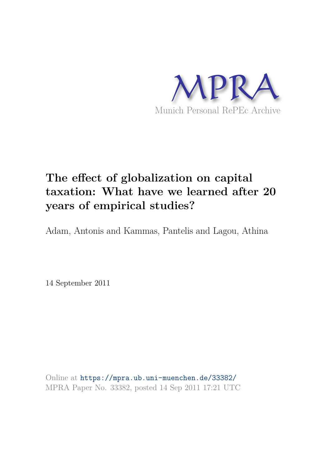

# **The effect of globalization on capital taxation: What have we learned after 20 years of empirical studies?**

Adam, Antonis and Kammas, Pantelis and Lagou, Athina

14 September 2011

Online at https://mpra.ub.uni-muenchen.de/33382/ MPRA Paper No. 33382, posted 14 Sep 2011 17:21 UTC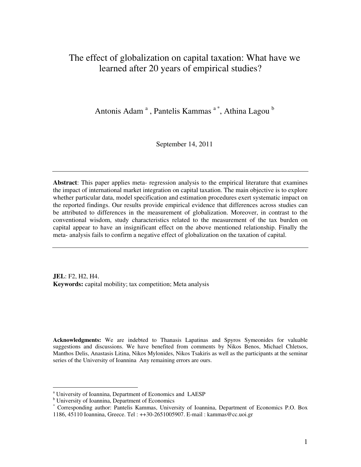# The effect of globalization on capital taxation: What have we learned after 20 years of empirical studies?

Antonis Adam<sup>a</sup>, Pantelis Kammas<sup>a\*</sup>, Athina Lagou<sup>b</sup>

September 14, 2011

**Abstract**: This paper applies meta- regression analysis to the empirical literature that examines the impact of international market integration on capital taxation. The main objective is to explore whether particular data, model specification and estimation procedures exert systematic impact on the reported findings. Our results provide empirical evidence that differences across studies can be attributed to differences in the measurement of globalization. Moreover, in contrast to the conventional wisdom, study characteristics related to the measurement of the tax burden on capital appear to have an insignificant effect on the above mentioned relationship. Finally the meta- analysis fails to confirm a negative effect of globalization on the taxation of capital.

**JEL**: F2, H2, H4. **Keywords:** capital mobility; tax competition; Meta analysis

**Acknowledgments:** We are indebted to Thanasis Lapatinas and Spyros Symeonides for valuable suggestions and discussions. We have benefited from comments by Nikos Benos, Michael Chletsos, Manthos Delis, Anastasis Litina, Nikos Mylonides, Nikos Tsakiris as well as the participants at the seminar series of the University of Ioannina Any remaining errors are ours.

-

<sup>&</sup>lt;sup>a</sup> University of Ioannina, Department of Economics and LAESP

<sup>&</sup>lt;sup>b</sup> University of Ioannina, Department of Economics<br>\* Corresponding author: Pontelig Kommos, Univers

Corresponding author: Pantelis Kammas, University of Ioannina, Department of Economics P.O. Box 1186, 45110 Ioannina, Greece. Tel : ++30-2651005907. E-mail : kammas@cc.uoi.gr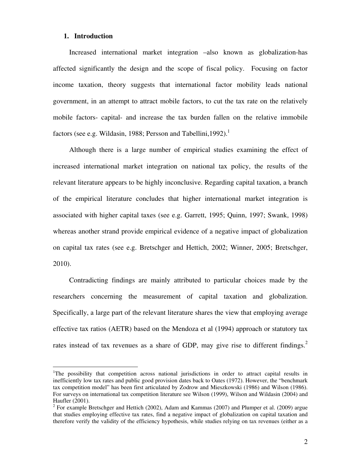## **1. Introduction**

 $\overline{a}$ 

Increased international market integration –also known as globalization-has affected significantly the design and the scope of fiscal policy. Focusing on factor income taxation, theory suggests that international factor mobility leads national government, in an attempt to attract mobile factors, to cut the tax rate on the relatively mobile factors- capital- and increase the tax burden fallen on the relative immobile factors (see e.g. Wildasin, 1988; Persson and Tabellini, 1992).<sup>1</sup>

Although there is a large number of empirical studies examining the effect of increased international market integration on national tax policy, the results of the relevant literature appears to be highly inconclusive. Regarding capital taxation, a branch of the empirical literature concludes that higher international market integration is associated with higher capital taxes (see e.g. Garrett, 1995; Quinn, 1997; Swank, 1998) whereas another strand provide empirical evidence of a negative impact of globalization on capital tax rates (see e.g. Bretschger and Hettich, 2002; Winner, 2005; Bretschger, 2010).

Contradicting findings are mainly attributed to particular choices made by the researchers concerning the measurement of capital taxation and globalization. Specifically, a large part of the relevant literature shares the view that employing average effective tax ratios (AETR) based on the Mendoza et al (1994) approach or statutory tax rates instead of tax revenues as a share of GDP, may give rise to different findings.<sup>2</sup>

<sup>&</sup>lt;sup>1</sup>The possibility that competition across national jurisdictions in order to attract capital results in inefficiently low tax rates and public good provision dates back to Oates (1972). However, the "benchmark tax competition model" has been first articulated by Zodrow and Mieszkowski (1986) and Wilson (1986). For surveys on international tax competition literature see Wilson (1999), Wilson and Wildasin (2004) and Haufler (2001).

 $2^2$  For example Bretschger and Hettich (2002), Adam and Kammas (2007) and Plumper et al. (2009) argue that studies employing effective tax rates, find a negative impact of globalization on capital taxation and therefore verify the validity of the efficiency hypothesis, while studies relying on tax revenues (either as a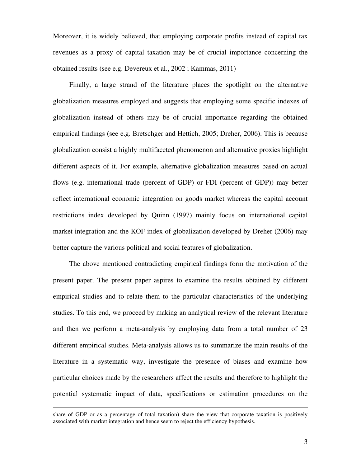Moreover, it is widely believed, that employing corporate profits instead of capital tax revenues as a proxy of capital taxation may be of crucial importance concerning the obtained results (see e.g. Devereux et al., 2002 ; Kammas, 2011)

Finally, a large strand of the literature places the spotlight on the alternative globalization measures employed and suggests that employing some specific indexes of globalization instead of others may be of crucial importance regarding the obtained empirical findings (see e.g. Bretschger and Hettich, 2005; Dreher, 2006). This is because globalization consist a highly multifaceted phenomenon and alternative proxies highlight different aspects of it. For example, alternative globalization measures based on actual flows (e.g. international trade (percent of GDP) or FDI (percent of GDP)) may better reflect international economic integration on goods market whereas the capital account restrictions index developed by Quinn (1997) mainly focus on international capital market integration and the KOF index of globalization developed by Dreher (2006) may better capture the various political and social features of globalization.

The above mentioned contradicting empirical findings form the motivation of the present paper. The present paper aspires to examine the results obtained by different empirical studies and to relate them to the particular characteristics of the underlying studies. To this end, we proceed by making an analytical review of the relevant literature and then we perform a meta-analysis by employing data from a total number of 23 different empirical studies. Meta-analysis allows us to summarize the main results of the literature in a systematic way, investigate the presence of biases and examine how particular choices made by the researchers affect the results and therefore to highlight the potential systematic impact of data, specifications or estimation procedures on the

 $\overline{a}$ 

share of GDP or as a percentage of total taxation) share the view that corporate taxation is positively associated with market integration and hence seem to reject the efficiency hypothesis.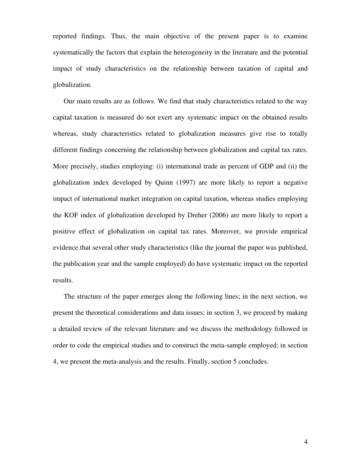reported findings. Thus, the main objective of the present paper is to examine systematically the factors that explain the heterogeneity in the literature and the potential impact of study characteristics on the relationship between taxation of capital and globalization.

Our main results are as follows. We find that study characteristics related to the way capital taxation is measured do not exert any systematic impact on the obtained results whereas, study characteristics related to globalization measures give rise to totally different findings concerning the relationship between globalization and capital tax rates. More precisely, studies employing: (i) international trade as percent of GDP and (ii) the globalization index developed by Quinn (1997) are more likely to report a negative impact of international market integration on capital taxation, whereas studies employing the KOF index of globalization developed by Dreher (2006) are more likely to report a positive effect of globalization on capital tax rates. Moreover, we provide empirical evidence that several other study characteristics (like the journal the paper was published, the publication year and the sample employed) do have systematic impact on the reported results.

The structure of the paper emerges along the following lines; in the next section, we present the theoretical considerations and data issues; in section 3, we proceed by making a detailed review of the relevant literature and we discuss the methodology followed in order to code the empirical studies and to construct the meta-sample employed; in section 4, we present the meta-analysis and the results. Finally, section 5 concludes.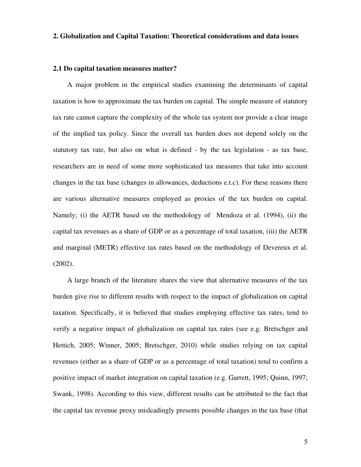# **2. Globalization and Capital Taxation: Theoretical considerations and data issues**

#### **2.1 Do capital taxation measures matter?**

A major problem in the empirical studies examining the determinants of capital taxation is how to approximate the tax burden on capital. The simple measure of statutory tax rate cannot capture the complexity of the whole tax system nor provide a clear image of the implied tax policy. Since the overall tax burden does not depend solely on the statutory tax rate, but also on what is defined - by the tax legislation - as tax base, researchers are in need of some more sophisticated tax measures that take into account changes in the tax base (changes in allowances, deductions e.t.c). For these reasons there are various alternative measures employed as proxies of the tax burden on capital. Namely; (i) the AETR based on the methodology of Mendoza et al. (1994), (ii) the capital tax revenues as a share of GDP or as a percentage of total taxation, (iii) the AETR and marginal (METR) effective tax rates based on the methodology of Devereux et al. (2002).

A large branch of the literature shares the view that alternative measures of the tax burden give rise to different results with respect to the impact of globalization on capital taxation. Specifically, it is believed that studies employing effective tax rates, tend to verify a negative impact of globalization on capital tax rates (see e.g. Bretschger and Hettich, 2005; Winner, 2005; Bretschger, 2010) while studies relying on tax capital revenues (either as a share of GDP or as a percentage of total taxation) tend to confirm a positive impact of market integration on capital taxation (e.g. Garrett, 1995; Quinn, 1997; Swank, 1998). According to this view, different results can be attributed to the fact that the capital tax revenue proxy misleadingly presents possible changes in the tax base (that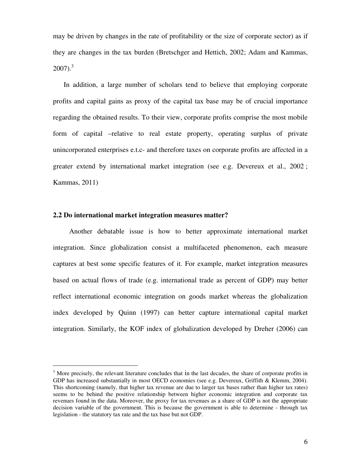may be driven by changes in the rate of profitability or the size of corporate sector) as if they are changes in the tax burden (Bretschger and Hettich, 2002; Adam and Kammas,  $2007$ ).<sup>3</sup>

In addition, a large number of scholars tend to believe that employing corporate profits and capital gains as proxy of the capital tax base may be of crucial importance regarding the obtained results. To their view, corporate profits comprise the most mobile form of capital –relative to real estate property, operating surplus of private unincorporated enterprises e.t.c- and therefore taxes on corporate profits are affected in a greater extend by international market integration (see e.g. Devereux et al., 2002 ; Kammas, 2011)

# **2.2 Do international market integration measures matter?**

 $\overline{a}$ 

Another debatable issue is how to better approximate international market integration. Since globalization consist a multifaceted phenomenon, each measure captures at best some specific features of it. For example, market integration measures based on actual flows of trade (e.g. international trade as percent of GDP) may better reflect international economic integration on goods market whereas the globalization index developed by Quinn (1997) can better capture international capital market integration. Similarly, the KOF index of globalization developed by Dreher (2006) can

 $3$  More precisely, the relevant literature concludes that in the last decades, the share of corporate profits in GDP has increased substantially in most OECD economies (see e.g. Devereux, Griffith & Klemm, 2004). This shortcoming (namely, that higher tax revenue are due to larger tax bases rather than higher tax rates) seems to be behind the positive relationship between higher economic integration and corporate tax revenues found in the data. Moreover, the proxy for tax revenues as a share of GDP is not the appropriate decision variable of the government. This is because the government is able to determine - through tax legislation - the statutory tax rate and the tax base but not GDP.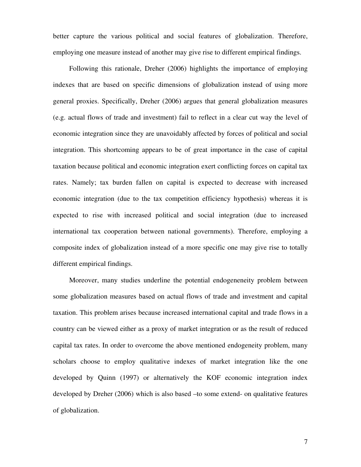better capture the various political and social features of globalization. Therefore, employing one measure instead of another may give rise to different empirical findings.

Following this rationale, Dreher (2006) highlights the importance of employing indexes that are based on specific dimensions of globalization instead of using more general proxies. Specifically, Dreher (2006) argues that general globalization measures (e.g. actual flows of trade and investment) fail to reflect in a clear cut way the level of economic integration since they are unavoidably affected by forces of political and social integration. This shortcoming appears to be of great importance in the case of capital taxation because political and economic integration exert conflicting forces on capital tax rates. Namely; tax burden fallen on capital is expected to decrease with increased economic integration (due to the tax competition efficiency hypothesis) whereas it is expected to rise with increased political and social integration (due to increased international tax cooperation between national governments). Therefore, employing a composite index of globalization instead of a more specific one may give rise to totally different empirical findings.

Moreover, many studies underline the potential endogeneneity problem between some globalization measures based on actual flows of trade and investment and capital taxation. This problem arises because increased international capital and trade flows in a country can be viewed either as a proxy of market integration or as the result of reduced capital tax rates. In order to overcome the above mentioned endogeneity problem, many scholars choose to employ qualitative indexes of market integration like the one developed by Quinn (1997) or alternatively the KOF economic integration index developed by Dreher (2006) which is also based –to some extend- on qualitative features of globalization.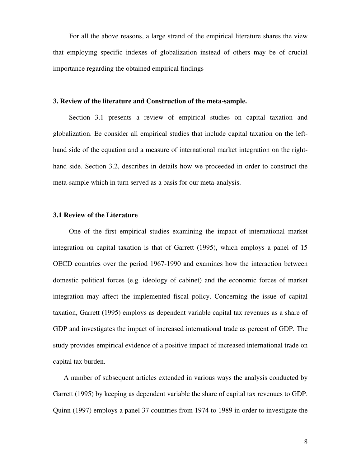For all the above reasons, a large strand of the empirical literature shares the view that employing specific indexes of globalization instead of others may be of crucial importance regarding the obtained empirical findings

#### **3. Review of the literature and Construction of the meta-sample.**

Section 3.1 presents a review of empirical studies on capital taxation and globalization. Ee consider all empirical studies that include capital taxation on the lefthand side of the equation and a measure of international market integration on the righthand side. Section 3.2, describes in details how we proceeded in order to construct the meta-sample which in turn served as a basis for our meta-analysis.

# **3.1 Review of the Literature**

One of the first empirical studies examining the impact of international market integration on capital taxation is that of Garrett (1995), which employs a panel of 15 OECD countries over the period 1967-1990 and examines how the interaction between domestic political forces (e.g. ideology of cabinet) and the economic forces of market integration may affect the implemented fiscal policy. Concerning the issue of capital taxation, Garrett (1995) employs as dependent variable capital tax revenues as a share of GDP and investigates the impact of increased international trade as percent of GDP. The study provides empirical evidence of a positive impact of increased international trade on capital tax burden.

A number of subsequent articles extended in various ways the analysis conducted by Garrett (1995) by keeping as dependent variable the share of capital tax revenues to GDP. Quinn (1997) employs a panel 37 countries from 1974 to 1989 in order to investigate the

8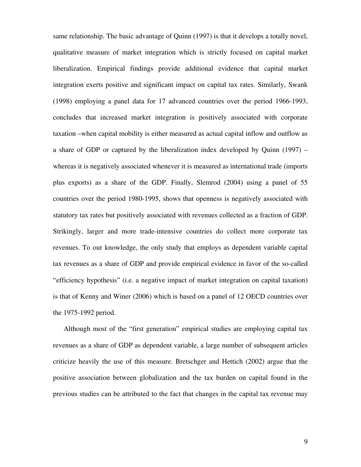same relationship. The basic advantage of Quinn (1997) is that it develops a totally novel, qualitative measure of market integration which is strictly focused on capital market liberalization. Empirical findings provide additional evidence that capital market integration exerts positive and significant impact on capital tax rates. Similarly, Swank (1998) employing a panel data for 17 advanced countries over the period 1966-1993, concludes that increased market integration is positively associated with corporate taxation –when capital mobility is either measured as actual capital inflow and outflow as a share of GDP or captured by the liberalization index developed by Quinn (1997) – whereas it is negatively associated whenever it is measured as international trade (imports plus exports) as a share of the GDP. Finally, Slemrod (2004) using a panel of 55 countries over the period 1980-1995, shows that openness is negatively associated with statutory tax rates but positively associated with revenues collected as a fraction of GDP. Strikingly, larger and more trade-intensive countries do collect more corporate tax revenues. To our knowledge, the only study that employs as dependent variable capital tax revenues as a share of GDP and provide empirical evidence in favor of the so-called "efficiency hypothesis" (i.e. a negative impact of market integration on capital taxation) is that of Kenny and Winer (2006) which is based on a panel of 12 OECD countries over the 1975-1992 period.

Although most of the "first generation" empirical studies are employing capital tax revenues as a share of GDP as dependent variable, a large number of subsequent articles criticize heavily the use of this measure. Bretschger and Hettich (2002) argue that the positive association between globalization and the tax burden on capital found in the previous studies can be attributed to the fact that changes in the capital tax revenue may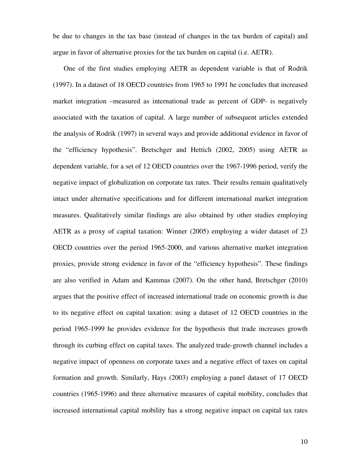be due to changes in the tax base (instead of changes in the tax burden of capital) and argue in favor of alternative proxies for the tax burden on capital (i.e. AETR).

One of the first studies employing AETR as dependent variable is that of Rodrik (1997). In a dataset of 18 OECD countries from 1965 to 1991 he concludes that increased market integration –measured as international trade as percent of GDP- is negatively associated with the taxation of capital. A large number of subsequent articles extended the analysis of Rodrik (1997) in several ways and provide additional evidence in favor of the "efficiency hypothesis". Bretschger and Hettich (2002, 2005) using AETR as dependent variable, for a set of 12 OECD countries over the 1967-1996 period, verify the negative impact of globalization on corporate tax rates. Their results remain qualitatively intact under alternative specifications and for different international market integration measures. Qualitatively similar findings are also obtained by other studies employing AETR as a proxy of capital taxation: Winner (2005) employing a wider dataset of 23 OECD countries over the period 1965-2000, and various alternative market integration proxies, provide strong evidence in favor of the "efficiency hypothesis". These findings are also verified in Adam and Kammas (2007). On the other hand, Bretschger (2010) argues that the positive effect of increased international trade on economic growth is due to its negative effect on capital taxation: using a dataset of 12 OECD countries in the period 1965-1999 he provides evidence for the hypothesis that trade increases growth through its curbing effect on capital taxes. The analyzed trade-growth channel includes a negative impact of openness on corporate taxes and a negative effect of taxes on capital formation and growth. Similarly, Hays (2003) employing a panel dataset of 17 OECD countries (1965-1996) and three alternative measures of capital mobility, concludes that increased international capital mobility has a strong negative impact on capital tax rates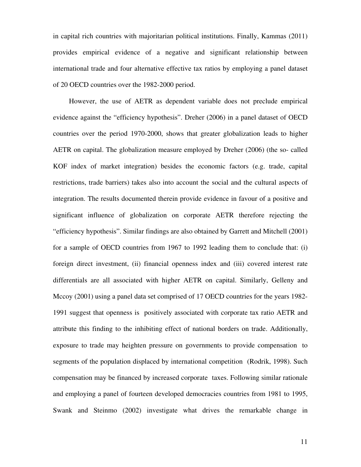in capital rich countries with majoritarian political institutions. Finally, Kammas (2011) provides empirical evidence of a negative and significant relationship between international trade and four alternative effective tax ratios by employing a panel dataset of 20 OECD countries over the 1982-2000 period.

However, the use of AETR as dependent variable does not preclude empirical evidence against the "efficiency hypothesis". Dreher (2006) in a panel dataset of OECD countries over the period 1970-2000, shows that greater globalization leads to higher AETR on capital. The globalization measure employed by Dreher (2006) (the so- called KOF index of market integration) besides the economic factors (e.g. trade, capital restrictions, trade barriers) takes also into account the social and the cultural aspects of integration. The results documented therein provide evidence in favour of a positive and significant influence of globalization on corporate AETR therefore rejecting the "efficiency hypothesis". Similar findings are also obtained by Garrett and Mitchell (2001) for a sample of OECD countries from 1967 to 1992 leading them to conclude that: (i) foreign direct investment, (ii) financial openness index and (iii) covered interest rate differentials are all associated with higher AETR on capital. Similarly, Gelleny and Mccoy (2001) using a panel data set comprised of 17 OECD countries for the years 1982- 1991 suggest that openness is positively associated with corporate tax ratio AETR and attribute this finding to the inhibiting effect of national borders on trade. Additionally, exposure to trade may heighten pressure on governments to provide compensation to segments of the population displaced by international competition (Rodrik, 1998). Such compensation may be financed by increased corporate taxes. Following similar rationale and employing a panel of fourteen developed democracies countries from 1981 to 1995, Swank and Steinmo (2002) investigate what drives the remarkable change in

11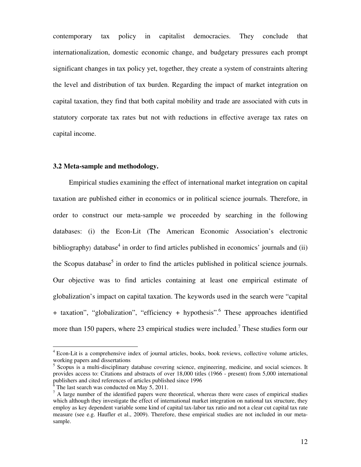contemporary tax policy in capitalist democracies. They conclude that internationalization, domestic economic change, and budgetary pressures each prompt significant changes in tax policy yet, together, they create a system of constraints altering the level and distribution of tax burden. Regarding the impact of market integration on capital taxation, they find that both capital mobility and trade are associated with cuts in statutory corporate tax rates but not with reductions in effective average tax rates on capital income.

#### **3.2 Meta-sample and methodology.**

Empirical studies examining the effect of international market integration on capital taxation are published either in economics or in political science journals. Therefore, in order to construct our meta-sample we proceeded by searching in the following databases: (i) the Econ-Lit (The American Economic Association's electronic bibliography) database<sup>4</sup> in order to find articles published in economics' journals and (ii) the Scopus database<sup>5</sup> in order to find the articles published in political science journals. Our objective was to find articles containing at least one empirical estimate of globalization's impact on capital taxation. The keywords used in the search were "capital + taxation", "globalization", "efficiency + hypothesis".<sup>6</sup> These approaches identified more than 150 papers, where 23 empirical studies were included.<sup>7</sup> These studies form our

 $\overline{a}$ 

<sup>&</sup>lt;sup>4</sup> Econ-Lit is a comprehensive index of journal articles, books, book reviews, collective volume articles, working papers and dissertations

<sup>&</sup>lt;sup>5</sup> Scopus is a multi-disciplinary database covering science, engineering, medicine, and social sciences. It provides access to: Citations and abstracts of over 18,000 titles (1966 - present) from 5,000 international publishers and cited references of articles published since 1996

 $6$  The last search was conducted on May 5, 2011.

 $<sup>7</sup>$  A large number of the identified papers were theoretical, whereas there were cases of empirical studies</sup> which although they investigate the effect of international market integration on national tax structure, they employ as key dependent variable some kind of capital tax-labor tax ratio and not a clear cut capital tax rate measure (see e.g. Haufler et al., 2009). Therefore, these empirical studies are not included in our metasample.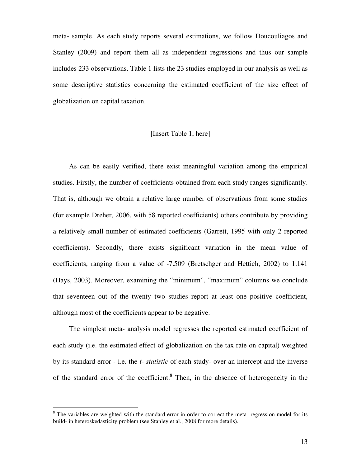meta- sample. As each study reports several estimations, we follow Doucouliagos and Stanley (2009) and report them all as independent regressions and thus our sample includes 233 observations. Table 1 lists the 23 studies employed in our analysis as well as some descriptive statistics concerning the estimated coefficient of the size effect of globalization on capital taxation.

## [Insert Table 1, here]

As can be easily verified, there exist meaningful variation among the empirical studies. Firstly, the number of coefficients obtained from each study ranges significantly. That is, although we obtain a relative large number of observations from some studies (for example Dreher, 2006, with 58 reported coefficients) others contribute by providing a relatively small number of estimated coefficients (Garrett, 1995 with only 2 reported coefficients). Secondly, there exists significant variation in the mean value of coefficients, ranging from a value of -7.509 (Bretschger and Hettich, 2002) to 1.141 (Hays, 2003). Moreover, examining the "minimum", "maximum" columns we conclude that seventeen out of the twenty two studies report at least one positive coefficient, although most of the coefficients appear to be negative.

The simplest meta- analysis model regresses the reported estimated coefficient of each study (i.e. the estimated effect of globalization on the tax rate on capital) weighted by its standard error - i.e. the *t- statistic* of each study- over an intercept and the inverse of the standard error of the coefficient.<sup>8</sup> Then, in the absence of heterogeneity in the

 $\overline{a}$ 

<sup>&</sup>lt;sup>8</sup> The variables are weighted with the standard error in order to correct the meta- regression model for its build- in heteroskedasticity problem (see Stanley et al., 2008 for more details).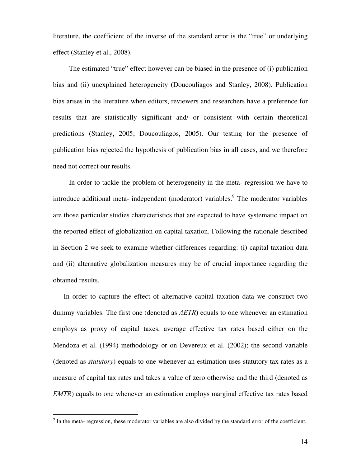literature, the coefficient of the inverse of the standard error is the "true" or underlying effect (Stanley et al., 2008).

The estimated "true" effect however can be biased in the presence of (i) publication bias and (ii) unexplained heterogeneity (Doucouliagos and Stanley, 2008). Publication bias arises in the literature when editors, reviewers and researchers have a preference for results that are statistically significant and/ or consistent with certain theoretical predictions (Stanley, 2005; Doucouliagos, 2005). Our testing for the presence of publication bias rejected the hypothesis of publication bias in all cases, and we therefore need not correct our results.

In order to tackle the problem of heterogeneity in the meta- regression we have to introduce additional meta- independent (moderator) variables.<sup>9</sup> The moderator variables are those particular studies characteristics that are expected to have systematic impact on the reported effect of globalization on capital taxation. Following the rationale described in Section 2 we seek to examine whether differences regarding: (i) capital taxation data and (ii) alternative globalization measures may be of crucial importance regarding the obtained results.

In order to capture the effect of alternative capital taxation data we construct two dummy variables. The first one (denoted as *AETR*) equals to one whenever an estimation employs as proxy of capital taxes, average effective tax rates based either on the Mendoza et al. (1994) methodology or on Devereux et al. (2002); the second variable (denoted as *statutory*) equals to one whenever an estimation uses statutory tax rates as a measure of capital tax rates and takes a value of zero otherwise and the third (denoted as *EMTR*) equals to one whenever an estimation employs marginal effective tax rates based

<sup>&</sup>lt;sup>9</sup> In the meta- regression, these moderator variables are also divided by the standard error of the coefficient.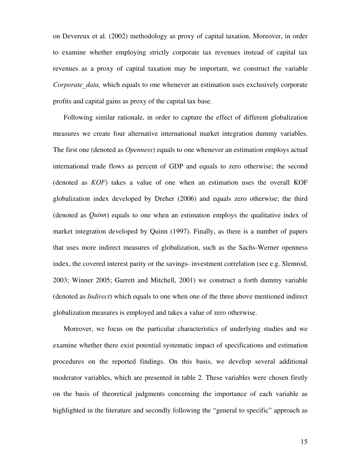on Devereux et al. (2002) methodology as proxy of capital taxation. Moreover, in order to examine whether employing strictly corporate tax revenues instead of capital tax revenues as a proxy of capital taxation may be important, we construct the variable *Corporate data,* which equals to one whenever an estimation uses exclusively corporate profits and capital gains as proxy of the capital tax base.

Following similar rationale, in order to capture the effect of different globalization measures we create four alternative international market integration dummy variables. The first one (denoted as *Openness*) equals to one whenever an estimation employs actual international trade flows as percent of GDP and equals to zero otherwise; the second (denoted as *KOF*) takes a value of one when an estimation uses the overall KOF globalization index developed by Dreher (2006) and equals zero otherwise; the third (denoted as *Quinn*) equals to one when an estimation employs the qualitative index of market integration developed by Quinn (1997). Finally, as there is a number of papers that uses more indirect measures of globalization, such as the Sachs-Werner openness index, the covered interest parity or the savings- investment correlation (see e.g. Slemrod, 2003; Winner 2005; Garrett and Mitchell, 2001) we construct a forth dummy variable (denoted as *Indirect*) which equals to one when one of the three above mentioned indirect globalization measures is employed and takes a value of zero otherwise.

Moreover, we focus on the particular characteristics of underlying studies and we examine whether there exist potential systematic impact of specifications and estimation procedures on the reported findings. On this basis, we develop several additional moderator variables, which are presented in table 2. These variables were chosen firstly on the basis of theoretical judgments concerning the importance of each variable as highlighted in the literature and secondly following the "general to specific" approach as

15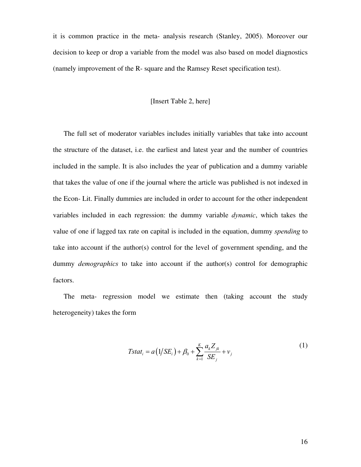it is common practice in the meta- analysis research (Stanley, 2005). Moreover our decision to keep or drop a variable from the model was also based on model diagnostics (namely improvement of the R- square and the Ramsey Reset specification test).

# [Insert Table 2, here]

The full set of moderator variables includes initially variables that take into account the structure of the dataset, i.e. the earliest and latest year and the number of countries included in the sample. It is also includes the year of publication and a dummy variable that takes the value of one if the journal where the article was published is not indexed in the Econ- Lit. Finally dummies are included in order to account for the other independent variables included in each regression: the dummy variable *dynamic*, which takes the value of one if lagged tax rate on capital is included in the equation, dummy *spending* to take into account if the author(s) control for the level of government spending, and the dummy *demographics* to take into account if the author(s) control for demographic factors.

The meta- regression model we estimate then (taking account the study heterogeneity) takes the form

$$
Tstat_i = a(1/SE_i) + \beta_0 + \sum_{k=1}^{K} \frac{a_k Z_{jk}}{SE_j} + v_j
$$
 (1)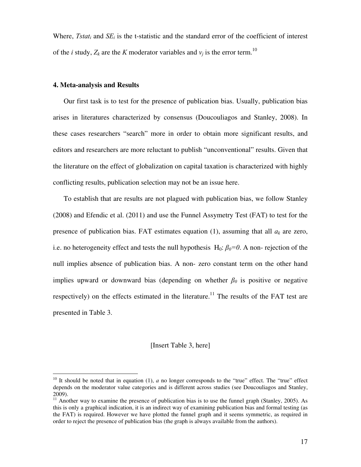Where, *Tstat<sub>i</sub>* and  $SE_i$  is the t-statistic and the standard error of the coefficient of interest of the *i* study,  $Z_k$  are the *K* moderator variables and  $v_j$  is the error term.<sup>10</sup>

# **4. Meta-analysis and Results**

-

Our first task is to test for the presence of publication bias. Usually, publication bias arises in literatures characterized by consensus (Doucouliagos and Stanley, 2008). In these cases researchers "search" more in order to obtain more significant results, and editors and researchers are more reluctant to publish "unconventional" results. Given that the literature on the effect of globalization on capital taxation is characterized with highly conflicting results, publication selection may not be an issue here.

To establish that are results are not plagued with publication bias, we follow Stanley (2008) and Efendic et al. (2011) and use the Funnel Assymetry Test (FAT) to test for the presence of publication bias. FAT estimates equation (1), assuming that all  $a_k$  are zero, i.e. no heterogeneity effect and tests the null hypothesis H<sub>0</sub>:  $\beta_0=0$ . A non- rejection of the null implies absence of publication bias. A non- zero constant term on the other hand implies upward or downward bias (depending on whether  $\beta_0$  is positive or negative respectively) on the effects estimated in the literature.<sup>11</sup> The results of the FAT test are presented in Table 3.

[Insert Table 3, here]

<sup>&</sup>lt;sup>10</sup> It should be noted that in equation (1),  $a$  no longer corresponds to the "true" effect. The "true" effect depends on the moderator value categories and is different across studies (see Doucouliagos and Stanley, 2009).

<sup>&</sup>lt;sup>11</sup> Another way to examine the presence of publication bias is to use the funnel graph (Stanley, 2005). As this is only a graphical indication, it is an indirect way of examining publication bias and formal testing (as the FAT) is required. However we have plotted the funnel graph and it seems symmetric, as required in order to reject the presence of publication bias (the graph is always available from the authors).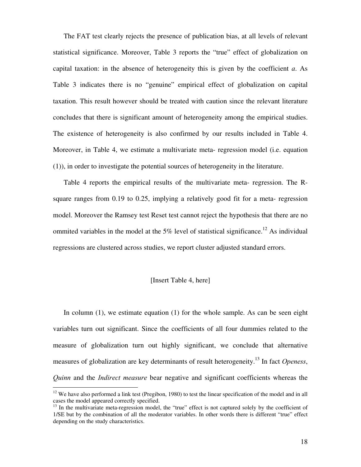The FAT test clearly rejects the presence of publication bias, at all levels of relevant statistical significance. Moreover, Table 3 reports the "true" effect of globalization on capital taxation: in the absence of heterogeneity this is given by the coefficient *a*. As Table 3 indicates there is no "genuine" empirical effect of globalization on capital taxation. This result however should be treated with caution since the relevant literature concludes that there is significant amount of heterogeneity among the empirical studies. The existence of heterogeneity is also confirmed by our results included in Table 4. Moreover, in Table 4, we estimate a multivariate meta- regression model (i.e. equation (1)), in order to investigate the potential sources of heterogeneity in the literature.

Table 4 reports the empirical results of the multivariate meta- regression. The Rsquare ranges from 0.19 to 0.25, implying a relatively good fit for a meta- regression model. Moreover the Ramsey test Reset test cannot reject the hypothesis that there are no ommited variables in the model at the 5% level of statistical significance.<sup>12</sup> As individual regressions are clustered across studies, we report cluster adjusted standard errors.

# [Insert Table 4, here]

In column (1), we estimate equation (1) for the whole sample. As can be seen eight variables turn out significant. Since the coefficients of all four dummies related to the measure of globalization turn out highly significant, we conclude that alternative measures of globalization are key determinants of result heterogeneity.<sup>13</sup> In fact *Openess*, *Quinn* and the *Indirect measure* bear negative and significant coefficients whereas the

-

 $12$  We have also performed a link test (Pregibon, 1980) to test the linear specification of the model and in all cases the model appeared correctly specified.

<sup>&</sup>lt;sup>13</sup> In the multivariate meta-regression model, the "true" effect is not captured solely by the coefficient of 1/SE but by the combination of all the moderator variables. In other words there is different "true" effect depending on the study characteristics.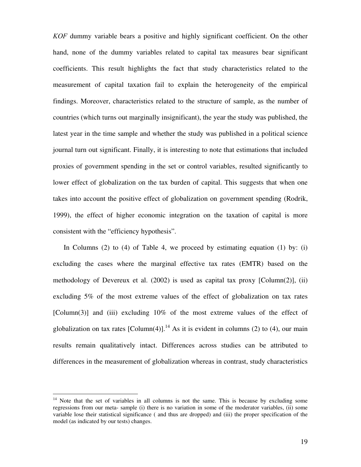*KOF* dummy variable bears a positive and highly significant coefficient. On the other hand, none of the dummy variables related to capital tax measures bear significant coefficients. This result highlights the fact that study characteristics related to the measurement of capital taxation fail to explain the heterogeneity of the empirical findings. Moreover, characteristics related to the structure of sample, as the number of countries (which turns out marginally insignificant), the year the study was published, the latest year in the time sample and whether the study was published in a political science journal turn out significant. Finally, it is interesting to note that estimations that included proxies of government spending in the set or control variables, resulted significantly to lower effect of globalization on the tax burden of capital. This suggests that when one takes into account the positive effect of globalization on government spending (Rodrik, 1999), the effect of higher economic integration on the taxation of capital is more consistent with the "efficiency hypothesis".

In Columns (2) to (4) of Table 4, we proceed by estimating equation (1) by: (i) excluding the cases where the marginal effective tax rates (EMTR) based on the methodology of Devereux et al. (2002) is used as capital tax proxy [Column(2)], (ii) excluding 5% of the most extreme values of the effect of globalization on tax rates [Column(3)] and (iii) excluding 10% of the most extreme values of the effect of globalization on tax rates  $[Column(4)]$ .<sup>14</sup> As it is evident in columns (2) to (4), our main results remain qualitatively intact. Differences across studies can be attributed to differences in the measurement of globalization whereas in contrast, study characteristics

 $\overline{a}$ 

<sup>&</sup>lt;sup>14</sup> Note that the set of variables in all columns is not the same. This is because by excluding some regressions from our meta- sample (i) there is no variation in some of the moderator variables, (ii) some variable lose their statistical significance ( and thus are dropped) and (iii) the proper specification of the model (as indicated by our tests) changes.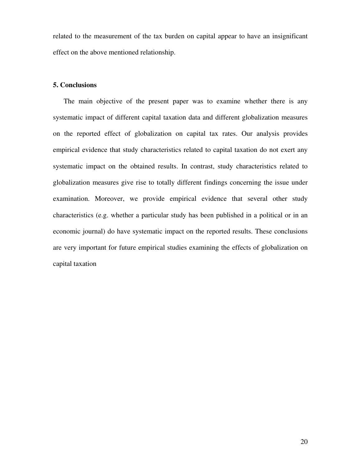related to the measurement of the tax burden on capital appear to have an insignificant effect on the above mentioned relationship.

# **5. Conclusions**

The main objective of the present paper was to examine whether there is any systematic impact of different capital taxation data and different globalization measures on the reported effect of globalization on capital tax rates. Our analysis provides empirical evidence that study characteristics related to capital taxation do not exert any systematic impact on the obtained results. In contrast, study characteristics related to globalization measures give rise to totally different findings concerning the issue under examination. Moreover, we provide empirical evidence that several other study characteristics (e.g. whether a particular study has been published in a political or in an economic journal) do have systematic impact on the reported results. These conclusions are very important for future empirical studies examining the effects of globalization on capital taxation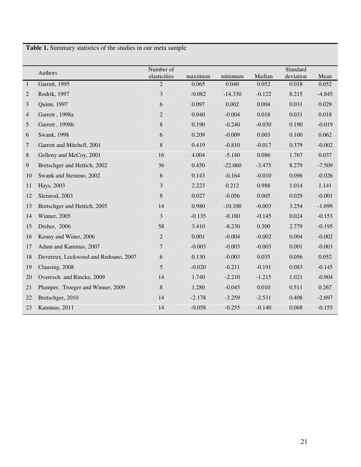**Table 1.** Summary statistics of the studies in our meta sample

|                | Standard                             |                           |          |           |          |           |          |  |
|----------------|--------------------------------------|---------------------------|----------|-----------|----------|-----------|----------|--|
|                | Authors                              | Number of<br>elasticities | maximum  | minimum   | Median   | deviation | Mean     |  |
| $\mathbf{1}$   | Garrett, 1995                        | 2                         | 0.065    | 0.040     | 0.052    | 0.018     | 0.052    |  |
| 2              | Rodrik, 1997                         | 3                         | $-0.082$ | $-14.330$ | $-0.122$ | 8.215     | $-4.845$ |  |
| 3              | Quinn, 1997                          | 6                         | 0.097    | 0.002     | 0.004    | 0.031     | 0.029    |  |
| $\overline{4}$ | Garrett, 1998a                       | $\overline{2}$            | 0.040    | $-0.004$  | 0.018    | 0.031     | 0.018    |  |
| 5              | Garrett, 1998b                       | $8\,$                     | 0.190    | $-0.240$  | $-0.030$ | 0.190     | $-0.019$ |  |
| 6              | Swank, 1998                          | 6                         | 0.209    | $-0.009$  | 0.003    | 0.100     | 0.062    |  |
| 7              | Garrett and Mitchell, 2001           | $8\,$                     | 0.419    | $-0.810$  | $-0.017$ | 0.379     | $-0.002$ |  |
| 8              | Gelleny and McCoy, 2001              | 16                        | 4.004    | $-5.140$  | 0.086    | 1.767     | 0.037    |  |
| 9              | Bretschger and Hettich, 2002         | 36                        | 0.450    | $-22.060$ | $-3.475$ | 8.279     | $-7.509$ |  |
| 10             | Swank and Steinmo, 2002              | $8\,$                     | 0.143    | $-0.164$  | $-0.010$ | 0.096     | $-0.026$ |  |
| 11             | Hays, 2003                           | 3                         | 2.223    | 0.212     | 0.988    | 1.014     | 1.141    |  |
| 12             | Slemrod, 2003                        | $8\,$                     | 0.027    | $-0.056$  | 0.005    | 0.029     | $-0.001$ |  |
| 13             | Bretschger and Hettich, 2005         | 14                        | 0.980    | $-10.100$ | $-0.003$ | 3.254     | $-1.699$ |  |
| 14             | Winner, 2005                         | 3                         | $-0.135$ | $-0.180$  | $-0.145$ | 0.024     | $-0.153$ |  |
| 15             | Dreher, 2006                         | 58                        | 3.410    | $-8.230$  | 0.300    | 2.779     | $-0.195$ |  |
| 16             | Kenny and Winer, 2006                | $\sqrt{2}$                | 0.001    | $-0.004$  | $-0.002$ | 0.004     | $-0.002$ |  |
| 17             | Adam and Kammas, 2007                | 7                         | $-0.003$ | $-0.003$  | $-0.003$ | 0.001     | $-0.003$ |  |
| 18             | Devereux, Lockwood and Redoano, 2007 | 6                         | 0.130    | $-0.003$  | 0.035    | 0.056     | 0.052    |  |
| 19             | Clausing, 2008                       | 5                         | $-0.020$ | $-0.211$  | $-0.191$ | 0.083     | $-0.145$ |  |
| 20             | Overesch and Rincke, 2009            | 14                        | 1.740    | $-2.210$  | $-1.215$ | 1.021     | $-0.904$ |  |
| 21             | Plumper, Troeger and Winner, 2009    | 8                         | 1.280    | $-0.045$  | 0.010    | 0.511     | 0.267    |  |
| 22             | Bretschger, 2010                     | 14                        | $-2.178$ | $-3.259$  | $-2.531$ | 0.408     | $-2.697$ |  |
| 23             | Kammas, 2011                         | 14                        | $-0.058$ | $-0.255$  | $-0.140$ | 0.068     | $-0.155$ |  |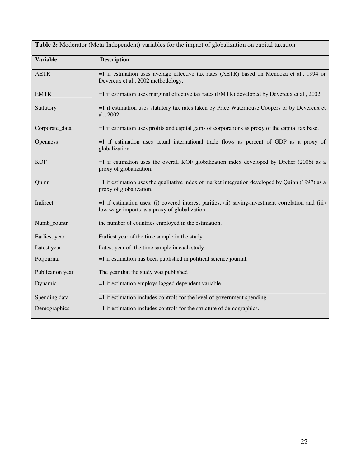| <b>Variable</b>  | <b>Description</b>                                                                                                                                    |
|------------------|-------------------------------------------------------------------------------------------------------------------------------------------------------|
| <b>AETR</b>      | $=1$ if estimation uses average effective tax rates (AETR) based on Mendoza et al., 1994 or<br>Devereux et al., 2002 methodology.                     |
| <b>EMTR</b>      | $=$ 1 if estimation uses marginal effective tax rates (EMTR) developed by Devereux et al., 2002.                                                      |
| Statutory        | $=$ 1 if estimation uses statutory tax rates taken by Price Waterhouse Coopers or by Devereux et<br>al., 2002.                                        |
| Corporate_data   | $=$ 1 if estimation uses profits and capital gains of corporations as proxy of the capital tax base.                                                  |
| Openness         | $=1$ if estimation uses actual international trade flows as percent of GDP as a proxy of<br>globalization.                                            |
| <b>KOF</b>       | =1 if estimation uses the overall KOF globalization index developed by Dreher (2006) as a<br>proxy of globalization.                                  |
| Quinn            | $=$ 1 if estimation uses the qualitative index of market integration developed by Quinn (1997) as a<br>proxy of globalization.                        |
| Indirect         | $=1$ if estimation uses: (i) covered interest parities, (ii) saving-investment correlation and (iii)<br>low wage imports as a proxy of globalization. |
| Numb_countr      | the number of countries employed in the estimation.                                                                                                   |
| Earliest year    | Earliest year of the time sample in the study                                                                                                         |
| Latest year      | Latest year of the time sample in each study                                                                                                          |
| Poljournal       | $=1$ if estimation has been published in political science journal.                                                                                   |
| Publication year | The year that the study was published                                                                                                                 |
| Dynamic          | $=1$ if estimation employs lagged dependent variable.                                                                                                 |
| Spending data    | $=$ 1 if estimation includes controls for the level of government spending.                                                                           |
| Demographics     | $=$ 1 if estimation includes controls for the structure of demographics.                                                                              |

**Table 2:** Moderator (Meta-Independent) variables for the impact of globalization on capital taxation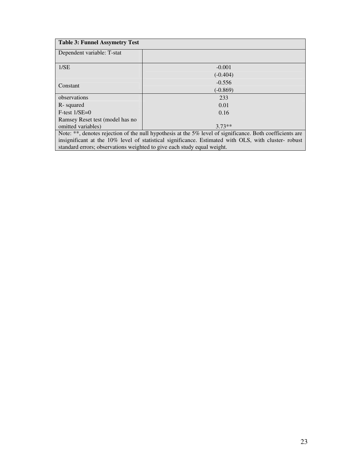| <b>Table 3: Funnel Assymetry Test</b>                                                                     |            |  |  |  |  |
|-----------------------------------------------------------------------------------------------------------|------------|--|--|--|--|
| Dependent variable: T-stat                                                                                |            |  |  |  |  |
| 1/SE                                                                                                      | $-0.001$   |  |  |  |  |
|                                                                                                           | $(-0.404)$ |  |  |  |  |
| Constant                                                                                                  | $-0.556$   |  |  |  |  |
|                                                                                                           | $(-0.869)$ |  |  |  |  |
| observations                                                                                              | 233        |  |  |  |  |
| R-squared                                                                                                 | 0.01       |  |  |  |  |
| $F-test 1/SE=0$                                                                                           | 0.16       |  |  |  |  |
| Ramsey Reset test (model has no                                                                           |            |  |  |  |  |
| omitted variables)                                                                                        | $3.73**$   |  |  |  |  |
| Note: **, denotes rejection of the null hypothesis at the 5% level of significance. Both coefficients are |            |  |  |  |  |

insignificant at the 10% level of statistical significance. Estimated with OLS, with cluster- robust standard errors; observations weighted to give each study equal weight.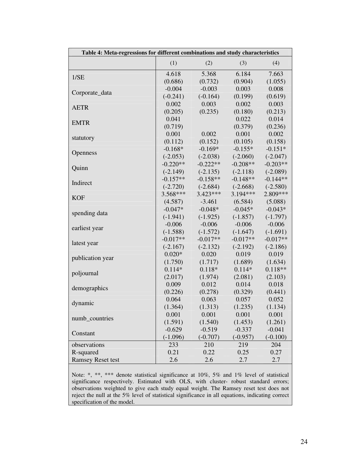| Table 4: Meta-regressions for different combinations and study characteristics |            |            |            |            |  |  |  |
|--------------------------------------------------------------------------------|------------|------------|------------|------------|--|--|--|
|                                                                                | (1)        | (2)        | (3)        | (4)        |  |  |  |
| 1/SE                                                                           | 4.618      | 5.368      | 6.184      | 7.663      |  |  |  |
|                                                                                | (0.686)    | (0.732)    | (0.904)    | (1.055)    |  |  |  |
| Corporate_data                                                                 | $-0.004$   | $-0.003$   | 0.003      | 0.008      |  |  |  |
|                                                                                | $(-0.241)$ | $(-0.164)$ | (0.199)    | (0.619)    |  |  |  |
| <b>AETR</b>                                                                    | 0.002      | 0.003      | 0.002      | 0.003      |  |  |  |
|                                                                                | (0.205)    | (0.235)    | (0.180)    | (0.213)    |  |  |  |
| <b>EMTR</b>                                                                    | 0.041      |            | 0.022      | 0.014      |  |  |  |
|                                                                                | (0.719)    |            | (0.379)    | (0.236)    |  |  |  |
|                                                                                | 0.001      | 0.002      | 0.001      | 0.002      |  |  |  |
| statutory                                                                      | (0.112)    | (0.152)    | (0.105)    | (0.158)    |  |  |  |
|                                                                                | $-0.168*$  | $-0.169*$  | $-0.155*$  | $-0.151*$  |  |  |  |
| Openness                                                                       | $(-2.053)$ | $(-2.038)$ | $(-2.060)$ | $(-2.047)$ |  |  |  |
|                                                                                | $-0.220**$ | $-0.222**$ | $-0.208**$ | $-0.203**$ |  |  |  |
| Quinn                                                                          | $(-2.149)$ | $(-2.135)$ | $(-2.118)$ | $(-2.089)$ |  |  |  |
|                                                                                | $-0.157**$ | $-0.158**$ | $-0.148**$ | $-0.144**$ |  |  |  |
| Indirect                                                                       | $(-2.720)$ | $(-2.684)$ | $(-2.668)$ | $(-2.580)$ |  |  |  |
|                                                                                | $3.568***$ | $3.423***$ | $3.194***$ | 2.809***   |  |  |  |
| <b>KOF</b>                                                                     | (4.587)    | $-3.461$   | (6.584)    | (5.088)    |  |  |  |
|                                                                                | $-0.047*$  | $-0.048*$  | $-0.045*$  | $-0.043*$  |  |  |  |
| spending data                                                                  | $(-1.941)$ | $(-1.925)$ | $(-1.857)$ | $(-1.797)$ |  |  |  |
|                                                                                | $-0.006$   | $-0.006$   | $-0.006$   | $-0.006$   |  |  |  |
| earliest year                                                                  | $(-1.588)$ | $(-1.572)$ | $(-1.647)$ | $(-1.691)$ |  |  |  |
|                                                                                | $-0.017**$ | $-0.017**$ | $-0.017**$ | $-0.017**$ |  |  |  |
| latest year                                                                    | $(-2.167)$ | $(-2.132)$ | $(-2.192)$ | $(-2.186)$ |  |  |  |
|                                                                                | $0.020*$   | 0.020      | 0.019      | 0.019      |  |  |  |
| publication year                                                               | (1.750)    | (1.717)    | (1.689)    | (1.634)    |  |  |  |
|                                                                                | $0.114*$   | $0.118*$   | $0.114*$   | $0.118**$  |  |  |  |
| poljournal                                                                     | (2.017)    | (1.974)    | (2.081)    | (2.103)    |  |  |  |
|                                                                                | 0.009      | 0.012      | 0.014      | 0.018      |  |  |  |
| demographics                                                                   | (0.226)    | (0.278)    | (0.329)    | (0.441)    |  |  |  |
|                                                                                | 0.064      | 0.063      | 0.057      | 0.052      |  |  |  |
| dynamic                                                                        | (1.364)    | (1.313)    | (1.235)    | (1.134)    |  |  |  |
|                                                                                | 0.001      | 0.001      | 0.001      | 0.001      |  |  |  |
| numb_countries                                                                 | (1.591)    | (1.540)    | (1.453)    | (1.261)    |  |  |  |
| Constant                                                                       | $-0.629$   | $-0.519$   | $-0.337$   | $-0.041$   |  |  |  |
|                                                                                | $(-1.096)$ | $(-0.707)$ | $(-0.957)$ | $(-0.100)$ |  |  |  |
| observations                                                                   | 233        | 210        | 219        | 204        |  |  |  |
| R-squared                                                                      | 0.21       | 0.22       | 0.25       | 0.27       |  |  |  |
| <b>Ramsey Reset test</b>                                                       | 2.6        | 2.6        | 2.7        | 2.7        |  |  |  |

Note: \*, \*\*, \*\*\* denote statistical significance at 10%, 5% and 1% level of statistical significance respectively. Estimated with OLS, with cluster- robust standard errors; observations weighted to give each study equal weight. The Ramsey reset test does not reject the null at the 5% level of statistical significance in all equations, indicating correct specification of the model.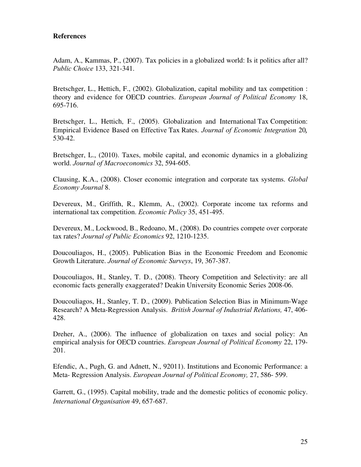# **References**

Adam, A., Kammas, P., (2007). Tax policies in a globalized world: Is it politics after all? *Public Choice* 133, 321-341.

Bretschger, L., Hettich, F., (2002). Globalization, capital mobility and tax competition : theory and evidence for OECD countries. *European Journal of Political Economy* 18, 695-716.

Bretschger, L., Hettich, F., (2005). Globalization and International Tax Competition: Empirical Evidence Based on Effective Tax Rates. *Journal of Economic Integration* 20*,*  530-42.

Bretschger, L., (2010). Taxes, mobile capital, and economic dynamics in a globalizing world. *Journal of Macroeconomics* 32, 594-605.

Clausing, K.A., (2008). Closer economic integration and corporate tax systems. *Global Economy Journal* 8.

Devereux, M., Griffith, R., Klemm, A., (2002). Corporate income tax reforms and international tax competition. *Economic Policy* 35, 451-495.

Devereux, M., Lockwood, B., Redoano, M., (2008). Do countries compete over corporate tax rates? *Journal of Public Economics* 92, 1210-1235.

Doucouliagos, H., (2005). Publication Bias in the Economic Freedom and Economic Growth Literature. *Journal of Economic Surveys*, 19, 367-387.

Doucouliagos, H., Stanley, T. D., (2008). Theory Competition and Selectivity: are all economic facts generally exaggerated? Deakin University Economic Series 2008-06.

Doucouliagos, H., Stanley, T. D., (2009). Publication Selection Bias in Minimum-Wage Research? A Meta-Regression Analysis. *British Journal of Industrial Relations,* 47, 406- 428.

Dreher, A., (2006). The influence of globalization on taxes and social policy: An empirical analysis for OECD countries. *European Journal of Political Economy* 22, 179- 201.

Efendic, A., Pugh, G. and Adnett, N., 92011). Institutions and Economic Performance: a Meta- Regression Analysis. *European Journal of Political Economy,* 27, 586- 599.

Garrett, G., (1995). Capital mobility, trade and the domestic politics of economic policy. *International Organisation* 49, 657-687.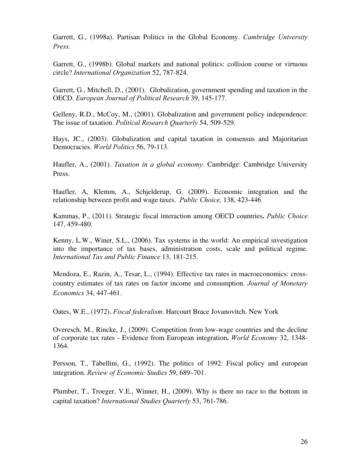Garrett, G., (1998a). Partisan Politics in the Global Economy. *Cambridge University Press.* 

Garrett, G., (1998b). Global markets and national politics: collision course or virtuous circle? *International Organization* 52, 787-824.

Garrett, G., Mitchell, D., (2001). Globalization, government spending and taxation in the OECD. *European Journal of Political Research* 39, 145-177.

Gelleny, R.D., McCoy, M., (2001). Globalization and government policy independence: The issue of taxation. *Political Research Quarterly* 54, 509-529.

Hays, JC., (2003). Globalization and capital taxation in consensus and Majoritarian Democracies. *World Politics* 56, 79-113.

Haufler, A., (2001). *Taxation in a global economy*. Cambridge: Cambridge University Press.

Haufler, A, Klemm, A., Schjelderup, G. (2009). Economic integration and the relationship between profit and wage taxes. *Public Choice,* 138, 423-446

Kammas, P., (2011). Strategic fiscal interaction among OECD countries**.** *Public Choice* 147, 459-480.

Kenny, L.W., Winer, S.L., (2006). Tax systems in the world: An empirical investigation into the importance of tax bases, administration costs, scale and political regime. *International Tax and Public Finance* 13, 181-215.

Mendoza, E., Razin, A., Tesar, L., (1994). Effective tax rates in macroeconomics: crosscountry estimates of tax rates on factor income and consumption. *Journal of Monetary Economics* 34, 447-461.

Oates, W.E., (1972). *Fiscal federalism*. Harcourt Brace Jovanovitch. New York

Overesch, M., Rincke, J., (2009). Competition from low-wage countries and the decline of corporate tax rates - Evidence from European integration**.** *World Economy* 32, 1348- 1364.

Persson, T., Tabellini, G., (1992). The politics of 1992: Fiscal policy and european integration. *Review of Economic Studies* 59, 689–701.

Plumber, T., Troeger, V.E., Winner, H., (2009). Why is there no race to the bottom in capital taxation? *International Studies Quarterly* 53, 761-786.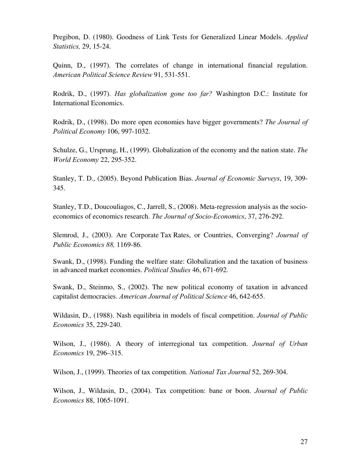Pregibon, D. (1980). Goodness of Link Tests for Generalized Linear Models. *Applied Statistics,* 29, 15-24.

Quinn, D., (1997). The correlates of change in international financial regulation. *American Political Science Review* 91, 531-551.

Rodrik, D., (1997). *Has globalization gone too far?* Washington D.C.: Institute for International Economics.

Rodrik, D., (1998). Do more open economies have bigger governments? *The Journal of Political Economy* 106, 997-1032.

Schulze, G., Ursprung, H., (1999). Globalization of the economy and the nation state. *The World Economy* 22, 295-352.

Stanley, T. D., (2005). Beyond Publication Bias. *Journal of Economic Surveys*, 19, 309- 345.

Stanley, T.D., Doucouliagos, C., Jarrell, S., (2008). Meta-regression analysis as the socioeconomics of economics research. *The Journal of Socio-Economics*, 37, 276-292.

Slemrod, J., (2003). Are Corporate Tax Rates, or Countries, Converging? *Journal of Public Economics 88,* 1169-86*.* 

 Swank, D., (1998). Funding the welfare state: Globalization and the taxation of business in advanced market economies. *Political Studies* 46, 671-692.

Swank, D., Steinmo, S., (2002). The new political economy of taxation in advanced capitalist democracies. *American Journal of Political Science* 46, 642-655.

Wildasin, D., (1988). Nash equilibria in models of fiscal competition. *Journal of Public Economics* 35, 229-240.

Wilson, J., (1986). A theory of interregional tax competition. *Journal of Urban Economics* 19, 296–315.

Wilson, J., (1999). Theories of tax competition. *National Tax Journal* 52, 269-304.

Wilson, J., Wildasin, D., (2004). Tax competition: bane or boon. *Journal of Public Economics* 88, 1065-1091.